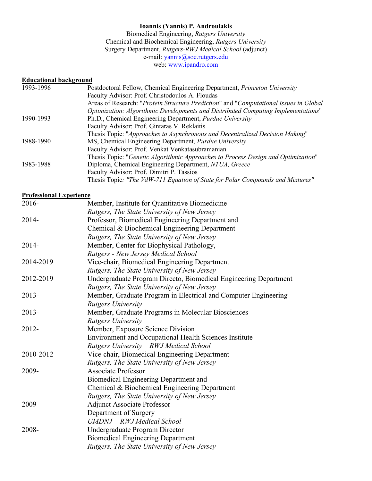## **Ioannis (Yannis) P. Androulakis**

Biomedical Engineering, *Rutgers University* Chemical and Biochemical Engineering, *Rutgers University* Surgery Department, *Rutgers-RWJ Medical School* (adjunct) e-mail: yannis@soe.rutgers.edu web: www.ipandro.com

### **Educational background**

| 1993-1996 | Postdoctoral Fellow, Chemical Engineering Department, Princeton University            |
|-----------|---------------------------------------------------------------------------------------|
|           | Faculty Advisor: Prof. Christodoulos A. Floudas                                       |
|           | Areas of Research: "Protein Structure Prediction" and "Computational Issues in Global |
|           | Optimization: Algorithmic Developments and Distributed Computing Implementations"     |
| 1990-1993 | Ph.D., Chemical Engineering Department, <i>Purdue University</i>                      |
|           | Faculty Advisor: Prof. Gintaras V. Reklaitis                                          |
|           | Thesis Topic: "Approaches to Asynchronous and Decentralized Decision Making"          |
| 1988-1990 | MS, Chemical Engineering Department, <i>Purdue University</i>                         |
|           | Faculty Advisor: Prof. Venkat Venkatasubramanian                                      |
|           | Thesis Topic: "Genetic Algorithmic Approaches to Process Design and Optimization"     |
| 1983-1988 | Diploma, Chemical Engineering Department, NTUA, Greece                                |
|           | Faculty Advisor: Prof. Dimitri P. Tassios                                             |
|           | Thesis Topic: "The VdW-711 Equation of State for Polar Compounds and Mixtures"        |

## **Professional Experience**

| 2016-     | Member, Institute for Quantitative Biomedicine                   |
|-----------|------------------------------------------------------------------|
|           | Rutgers, The State University of New Jersey                      |
| 2014-     | Professor, Biomedical Engineering Department and                 |
|           | Chemical & Biochemical Engineering Department                    |
|           | Rutgers, The State University of New Jersey                      |
| 2014-     | Member, Center for Biophysical Pathology,                        |
|           | Rutgers - New Jersey Medical School                              |
| 2014-2019 | Vice-chair, Biomedical Engineering Department                    |
|           | Rutgers, The State University of New Jersey                      |
| 2012-2019 | Undergraduate Program Directo, Biomedical Engineering Department |
|           | Rutgers, The State University of New Jersey                      |
| $2013 -$  | Member, Graduate Program in Electrical and Computer Engineering  |
|           | <b>Rutgers University</b>                                        |
| $2013 -$  | Member, Graduate Programs in Molecular Biosciences               |
|           | <b>Rutgers University</b>                                        |
| 2012-     | Member, Exposure Science Division                                |
|           | Environment and Occupational Health Sciences Institute           |
|           | Rutgers University - RWJ Medical School                          |
| 2010-2012 | Vice-chair, Biomedical Engineering Department                    |
|           | Rutgers, The State University of New Jersey                      |
| 2009-     | <b>Associate Professor</b>                                       |
|           | Biomedical Engineering Department and                            |
|           | Chemical & Biochemical Engineering Department                    |
|           | Rutgers, The State University of New Jersey                      |
| 2009-     | <b>Adjunct Associate Professor</b>                               |
|           | Department of Surgery                                            |
|           | <b>UMDNJ</b> - RWJ Medical School                                |
| 2008-     | Undergraduate Program Director                                   |
|           | <b>Biomedical Engineering Department</b>                         |
|           | Rutgers, The State University of New Jersey                      |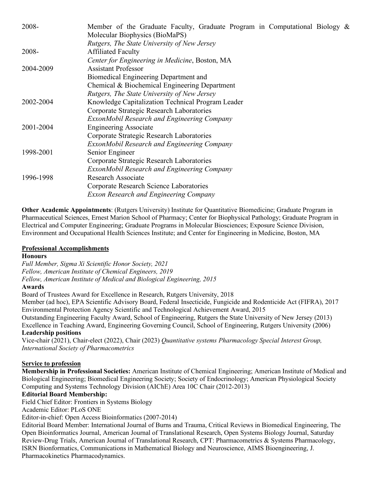| 2008-     | Member of the Graduate Faculty, Graduate Program in Computational Biology $\&$ |
|-----------|--------------------------------------------------------------------------------|
|           | Molecular Biophysics (BioMaPS)<br>Rutgers, The State University of New Jersey  |
| 2008-     | <b>Affiliated Faculty</b>                                                      |
|           | Center for Engineering in Medicine, Boston, MA                                 |
| 2004-2009 | <b>Assistant Professor</b>                                                     |
|           | Biomedical Engineering Department and                                          |
|           | Chemical & Biochemical Engineering Department                                  |
|           | Rutgers, The State University of New Jersey                                    |
| 2002-2004 | Knowledge Capitalization Technical Program Leader                              |
|           | Corporate Strategic Research Laboratories                                      |
|           | ExxonMobil Research and Engineering Company                                    |
| 2001-2004 | <b>Engineering Associate</b>                                                   |
|           | Corporate Strategic Research Laboratories                                      |
|           | ExxonMobil Research and Engineering Company                                    |
| 1998-2001 | Senior Engineer                                                                |
|           | Corporate Strategic Research Laboratories                                      |
|           | ExxonMobil Research and Engineering Company                                    |
| 1996-1998 | <b>Research Associate</b>                                                      |
|           | Corporate Research Science Laboratories                                        |
|           | <b>Exxon Research and Engineering Company</b>                                  |
|           |                                                                                |

**Other Academic Appointments**: (Rutgers University) Institute for Quantitative Biomedicine; Graduate Program in Pharmaceutical Sciences, Ernest Marion School of Pharmacy; Center for Biophysical Pathology; Graduate Program in Electrical and Computer Engineering; Graduate Programs in Molecular Biosciences; Exposure Science Division, Environment and Occupational Health Sciences Institute; and Center for Engineering in Medicine, Boston, MA

#### **Professional Accomplishments**

#### **Honours**

*Full Member, Sigma Xi Scientific Honor Society, 2021 Fellow, American Institute of Chemical Engineers, 2019 Fellow, American Institute of Medical and Biological Engineering, 2015*

#### **Awards**

Board of Trustees Award for Excellence in Research, Rutgers University, 2018

Member (ad hoc), EPA Scientific Advisory Board, Federal Insecticide, Fungicide and Rodenticide Act (FIFRA), 2017 Environmental Protection Agency Scientific and Technological Achievement Award, 2015

Outstanding Engineering Faculty Award, School of Engineering, Rutgers the State University of New Jersey (2013) Excellence in Teaching Award, Engineering Governing Council, School of Engineering, Rutgers University (2006) **Leadership positions**

Vice-chair (2021), Chair-elect (2022), Chair (2023) *Quantitative systems Pharmacology Special Interest Group, International Society of Pharmacometrics*

#### **Service to profession**

**Membership in Professional Societies:** American Institute of Chemical Engineering; American Institute of Medical and Biological Engineering; Biomedical Engineering Society; Society of Endocrinology; American Physiological Society Computing and Systems Technology Division (AIChE) Area 10C Chair (2012-2013)

#### **Editorial Board Membership:**

Field Chief Editor: Frontiers in Systems Biology

Academic Editor: PLoS ONE

Editor-in-chief: Open Access Bioinformatics (2007-2014)

Editorial Board Member: International Journal of Burns and Trauma, Critical Reviews in Biomedical Engineering, The Open Bioinformatics Journal, American Journal of Translational Research, Open Systems Biology Journal, Saturday Review-Drug Trials, American Journal of Translational Research, CPT: Pharmacometrics & Systems Pharmacology, ISRN Bionformatics, Communications in Mathematical Biology and Neuroscience, AIMS Bioengineering, J. Pharmacokinetics Pharmacodynamics.